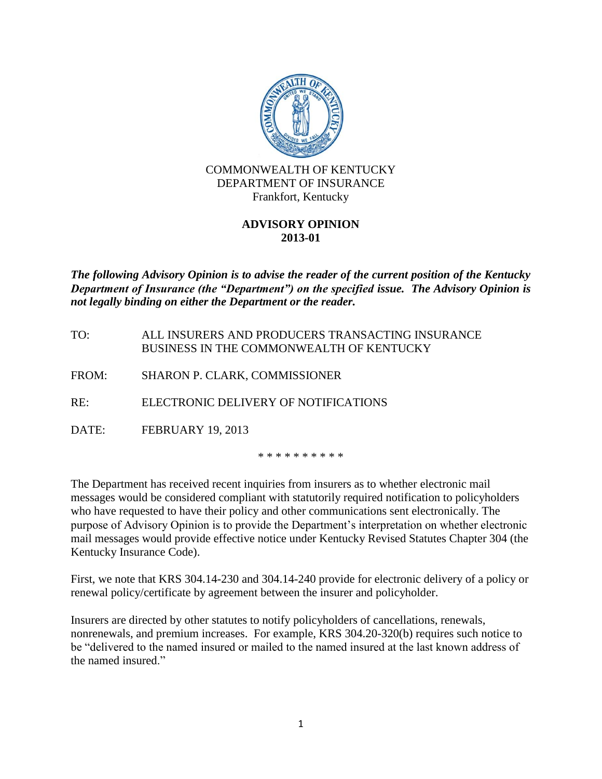

## **ADVISORY OPINION 2013-01**

*The following Advisory Opinion is to advise the reader of the current position of the Kentucky Department of Insurance (the "Department") on the specified issue. The Advisory Opinion is not legally binding on either the Department or the reader.*

TO: ALL INSURERS AND PRODUCERS TRANSACTING INSURANCE BUSINESS IN THE COMMONWEALTH OF KENTUCKY

FROM: SHARON P. CLARK, COMMISSIONER

RE: ELECTRONIC DELIVERY OF NOTIFICATIONS

DATE: FEBRUARY 19, 2013

\* \* \* \* \* \* \* \* \* \*

The Department has received recent inquiries from insurers as to whether electronic mail messages would be considered compliant with statutorily required notification to policyholders who have requested to have their policy and other communications sent electronically. The purpose of Advisory Opinion is to provide the Department's interpretation on whether electronic mail messages would provide effective notice under Kentucky Revised Statutes Chapter 304 (the Kentucky Insurance Code).

First, we note that KRS 304.14-230 and 304.14-240 provide for electronic delivery of a policy or renewal policy/certificate by agreement between the insurer and policyholder.

Insurers are directed by other statutes to notify policyholders of cancellations, renewals, nonrenewals, and premium increases. For example, KRS 304.20-320(b) requires such notice to be "delivered to the named insured or mailed to the named insured at the last known address of the named insured."